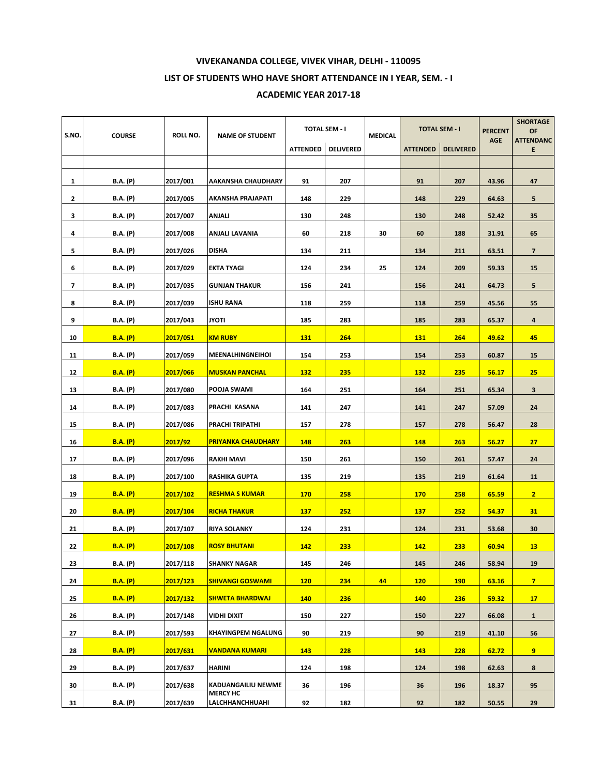# **VIVEKANANDA COLLEGE, VIVEK VIHAR, DELHI - 110095**

# **LIST OF STUDENTS WHO HAVE SHORT ATTENDANCE IN I YEAR, SEM. - I**

#### **ACADEMIC YEAR 2017-18**

| S.NO.        | <b>COURSE</b>   | <b>ROLL NO.</b> | <b>NAME OF STUDENT</b>             |                 | TOTAL SEM - I<br><b>MEDICAL</b> |    | <b>TOTAL SEM - I</b> |                  | <b>PERCENT</b><br><b>AGE</b> | <b>SHORTAGE</b><br>OF<br><b>ATTENDANC</b> |
|--------------|-----------------|-----------------|------------------------------------|-----------------|---------------------------------|----|----------------------|------------------|------------------------------|-------------------------------------------|
|              |                 |                 |                                    | <b>ATTENDED</b> | <b>DELIVERED</b>                |    | <b>ATTENDED</b>      | <b>DELIVERED</b> |                              | E                                         |
|              |                 |                 |                                    |                 |                                 |    |                      |                  |                              |                                           |
| $\mathbf{1}$ | <b>B.A.</b> (P) | 2017/001        | <b>AAKANSHA CHAUDHARY</b>          | 91              | 207                             |    | 91                   | 207              | 43.96                        | 47                                        |
| $\mathbf{2}$ | <b>B.A.</b> (P) | 2017/005        | AKANSHA PRAJAPATI                  | 148             | 229                             |    | 148                  | 229              | 64.63                        | 5                                         |
| 3            | <b>B.A.</b> (P) | 2017/007        | ANJALI                             | 130             | 248                             |    | 130                  | 248              | 52.42                        | 35                                        |
| 4            | <b>B.A.</b> (P) | 2017/008        | <b>ANJALI LAVANIA</b>              | 60              | 218                             | 30 | 60                   | 188              | 31.91                        | 65                                        |
| 5            | <b>B.A.</b> (P) | 2017/026        | <b>DISHA</b>                       | 134             | 211                             |    | 134                  | 211              | 63.51                        | $\overline{7}$                            |
| 6            | <b>B.A.</b> (P) | 2017/029        | <b>EKTA TYAGI</b>                  | 124             | 234                             | 25 | 124                  | 209              | 59.33                        | 15                                        |
| 7            | <b>B.A.</b> (P) | 2017/035        | <b>GUNJAN THAKUR</b>               | 156             | 241                             |    | 156                  | 241              | 64.73                        | 5                                         |
| 8            | <b>B.A.</b> (P) | 2017/039        | <b>ISHU RANA</b>                   | 118             | 259                             |    | 118                  | 259              | 45.56                        | 55                                        |
| 9            | <b>B.A.</b> (P) | 2017/043        | <b>JYOTI</b>                       | 185             | 283                             |    | 185                  | 283              | 65.37                        | 4                                         |
| 10           | <b>B.A.</b> (P) | 2017/051        | <b>KM RUBY</b>                     | <b>131</b>      | 264                             |    | <b>131</b>           | 264              | 49.62                        | 45                                        |
| 11           | <b>B.A.</b> (P) | 2017/059        | <b>MEENALHINGNEIHOI</b>            | 154             | 253                             |    | 154                  | 253              | 60.87                        | 15                                        |
| 12           | <b>B.A.</b> (P) | 2017/066        | <b>MUSKAN PANCHAL</b>              | <b>132</b>      | 235                             |    | <b>132</b>           | 235              | 56.17                        | 25                                        |
| 13           | <b>B.A.</b> (P) | 2017/080        | POOJA SWAMI                        | 164             | 251                             |    | 164                  | 251              | 65.34                        | $\mathbf{3}$                              |
| 14           | <b>B.A.</b> (P) | 2017/083        | PRACHI KASANA                      | 141             | 247                             |    | 141                  | 247              | 57.09                        | 24                                        |
| 15           | <b>B.A.</b> (P) | 2017/086        | <b>PRACHI TRIPATHI</b>             | 157             | 278                             |    | 157                  | 278              | 56.47                        | 28                                        |
| 16           | <b>B.A.</b> (P) | 2017/92         | <b>PRIYANKA CHAUDHARY</b>          | 148             | 263                             |    | <b>148</b>           | 263              | 56.27                        | 27                                        |
| 17           | <b>B.A.</b> (P) | 2017/096        | <b>RAKHI MAVI</b>                  | 150             | 261                             |    | 150                  | 261              | 57.47                        | 24                                        |
| 18           | <b>B.A.</b> (P) | 2017/100        | <b>RASHIKA GUPTA</b>               | 135             | 219                             |    | 135                  | 219              | 61.64                        | 11                                        |
| 19           | B.A. (P)        | 2017/102        |                                    | <b>170</b>      | 258                             |    | <b>170</b>           | 258              | 65.59                        | 2 <sup>7</sup>                            |
|              |                 |                 | <b>RESHMA S KUMAR</b>              |                 |                                 |    |                      |                  |                              |                                           |
| 20           | <b>B.A.</b> (P) | 2017/104        | <b>RICHA THAKUR</b>                | <b>137</b>      | 252                             |    | <b>137</b>           | <b>252</b>       | 54.37                        | 31                                        |
| 21           | <b>B.A.</b> (P) | 2017/107        | <b>RIYA SOLANKY</b>                | 124             | 231                             |    | 124                  | 231              | 53.68                        | 30                                        |
| 22           | <b>B.A.</b> (P) | 2017/108        | <b>ROSY BHUTANI</b>                | 142             | 233                             |    | <b>142</b>           | 233              | 60.94                        | 13                                        |
| 23           | <b>B.A.</b> (P) | 2017/118        | <b>SHANKY NAGAR</b>                | 145             | 246                             |    | 145                  | 246              | 58.94                        | 19                                        |
| 24           | B.A. (P)        | 2017/123        | <b>SHIVANGI GOSWAMI</b>            | 120             | 234                             | 44 | <b>120</b>           | <b>190</b>       | 63.16                        | 7 <sup>7</sup>                            |
| 25           | <b>B.A.</b> (P) | 2017/132        | <b>SHWETA BHARDWAJ</b>             | <b>140</b>      | 236                             |    | 140                  | 236              | 59.32                        | 17                                        |
| 26           | <b>B.A.</b> (P) | 2017/148        | VIDHI DIXIT                        | 150             | 227                             |    | 150                  | 227              | 66.08                        | $\mathbf{1}$                              |
| 27           | <b>B.A.</b> (P) | 2017/593        | <b>KHAYINGPEM NGALUNG</b>          | 90              | 219                             |    | 90                   | 219              | 41.10                        | 56                                        |
| 28           | <b>B.A.</b> (P) | 2017/631        | <u>VANDANA KUMARI</u>              | 143             | 228                             |    | 143                  | 228              | 62.72                        | 9                                         |
| 29           | <b>B.A.</b> (P) | 2017/637        | <b>HARINI</b>                      | 124             | 198                             |    | 124                  | 198              | 62.63                        | 8                                         |
| 30           | <b>B.A.</b> (P) | 2017/638        | KADUANGAILIU NEWME                 | 36              | 196                             |    | 36                   | 196              | 18.37                        | 95                                        |
| 31           | <b>B.A.</b> (P) | 2017/639        | <b>MERCY HC</b><br>LALCHHANCHHUAHI | 92              | 182                             |    | 92                   | 182              | 50.55                        | 29                                        |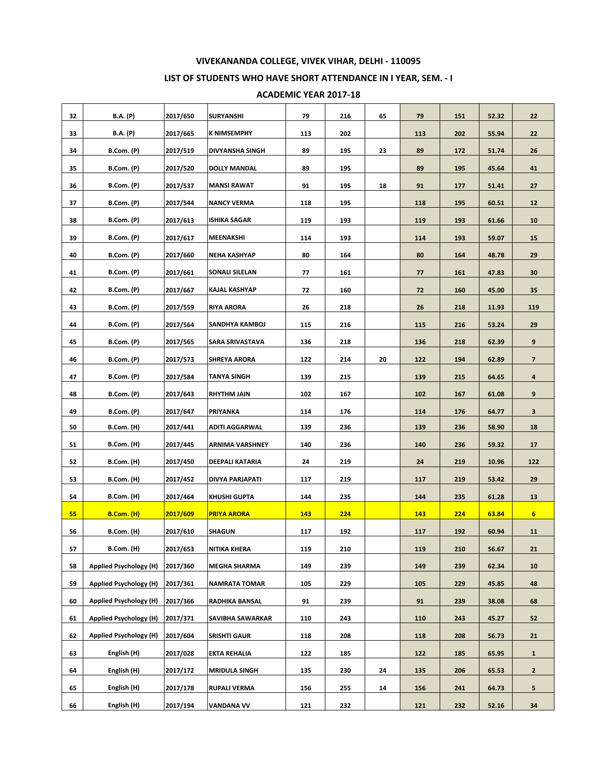# **VIVEKANANDA COLLEGE, VIVEK VIHAR, DELHI - 110095**

# **LIST OF STUDENTS WHO HAVE SHORT ATTENDANCE IN I YEAR, SEM. - I**

#### **ACADEMIC YEAR 2017-18**

| 32 | <b>B.A.</b> (P)               | 2017/650 | <b>SURYANSHI</b>      | 79  | 216 | 65 | 79  | 151 | 52.32 | 22                       |
|----|-------------------------------|----------|-----------------------|-----|-----|----|-----|-----|-------|--------------------------|
| 33 | <b>B.A.</b> (P)               | 2017/665 | <b>K NIMSEMPHY</b>    | 113 | 202 |    | 113 | 202 | 55.94 | 22                       |
| 34 | B.Com. (P)                    | 2017/519 | DIVYANSHA SINGH       | 89  | 195 | 23 | 89  | 172 | 51.74 | 26                       |
| 35 | B.Com. (P)                    | 2017/520 | <b>DOLLY MANDAL</b>   | 89  | 195 |    | 89  | 195 | 45.64 | 41                       |
| 36 | B.Com. (P)                    | 2017/537 | <b>MANSI RAWAT</b>    | 91  | 195 | 18 | 91  | 177 | 51.41 | 27                       |
| 37 | B.Com. (P)                    | 2017/544 | <b>NANCY VERMA</b>    | 118 | 195 |    | 118 | 195 | 60.51 | 12                       |
| 38 | B.Com. (P)                    | 2017/613 | <b>ISHIKA SAGAR</b>   | 119 | 193 |    | 119 | 193 | 61.66 | 10                       |
| 39 | B.Com. (P)                    | 2017/617 | <b>MEENAKSHI</b>      | 114 | 193 |    | 114 | 193 | 59.07 | 15                       |
| 40 | B.Com. (P)                    | 2017/660 | <b>NEHA KASHYAP</b>   | 80  | 164 |    | 80  | 164 | 48.78 | 29                       |
| 41 | B.Com. (P)                    | 2017/661 | SONALI SILELAN        | 77  | 161 |    | 77  | 161 | 47.83 | 30                       |
| 42 | B.Com. (P)                    | 2017/667 | KAJAL KASHYAP         | 72  | 160 |    | 72  | 160 | 45.00 | 35                       |
| 43 | B.Com. (P)                    | 2017/559 | <b>RIYA ARORA</b>     | 26  | 218 |    | 26  | 218 | 11.93 | 119                      |
| 44 | B.Com. (P)                    | 2017/564 | SANDHYA KAMBOJ        | 115 | 216 |    | 115 | 216 | 53.24 | 29                       |
| 45 | B.Com. (P)                    | 2017/565 | SARA SRIVASTAVA       | 136 | 218 |    | 136 | 218 | 62.39 | 9                        |
| 46 | B.Com. (P)                    | 2017/573 | <b>SHREYA ARORA</b>   | 122 | 214 | 20 | 122 | 194 | 62.89 | $\overline{\phantom{a}}$ |
| 47 | B.Com. (P)                    | 2017/584 | <b>TANYA SINGH</b>    | 139 | 215 |    | 139 | 215 | 64.65 | 4                        |
| 48 | B.Com. (P)                    | 2017/643 | <b>RHYTHM JAIN</b>    | 102 | 167 |    | 102 | 167 | 61.08 | 9                        |
| 49 | B.Com. (P)                    | 2017/647 | PRIYANKA              | 114 | 176 |    | 114 | 176 | 64.77 | $\mathbf{3}$             |
| 50 | B.Com. (H)                    | 2017/441 | <b>ADITI AGGARWAL</b> | 139 | 236 |    | 139 | 236 | 58.90 | 18                       |
| 51 | B.Com. (H)                    | 2017/445 | ARNIMA VARSHNEY       | 140 | 236 |    | 140 | 236 | 59.32 | 17                       |
| 52 | B.Com. (H)                    | 2017/450 | DEEPALI KATARIA       | 24  | 219 |    | 24  | 219 | 10.96 | 122                      |
| 53 | <b>B.Com. (H)</b>             | 2017/452 | DIVYA PARJAPATI       | 117 | 219 |    | 117 | 219 | 53.42 | 29                       |
| 54 | B.Com. (H)                    | 2017/464 | <b>KHUSHI GUPTA</b>   | 144 | 235 |    | 144 | 235 | 61.28 | 13                       |
| 55 | <b>B.Com. (H)</b>             | 2017/609 | <b>PRIYA ARORA</b>    | 143 | 224 |    | 143 | 224 | 63.84 | $6\phantom{1}$           |
| 56 | B.Com. (H)                    | 2017/610 | <b>SHAGUN</b>         | 117 | 192 |    | 117 | 192 | 60.94 | 11                       |
| 57 | <b>B.Com.</b> (H)             | 2017/653 | <b>NITIKA KHERA</b>   | 119 | 210 |    | 119 | 210 | 56.67 | 21                       |
| 58 | <b>Applied Psychology (H)</b> | 2017/360 | <b>MEGHA SHARMA</b>   | 149 | 239 |    | 149 | 239 | 62.34 | 10                       |
| 59 | <b>Applied Psychology (H)</b> | 2017/361 | <b>NAMRATA TOMAR</b>  | 105 | 229 |    | 105 | 229 | 45.85 | 48                       |
| 60 | <b>Applied Psychology (H)</b> | 2017/366 | <b>RADHIKA BANSAL</b> | 91  | 239 |    | 91  | 239 | 38.08 | 68                       |
| 61 | <b>Applied Psychology (H)</b> | 2017/371 | SAVIBHA SAWARKAR      | 110 | 243 |    | 110 | 243 | 45.27 | 52                       |
| 62 | <b>Applied Psychology (H)</b> | 2017/604 | <b>SRISHTI GAUR</b>   | 118 | 208 |    | 118 | 208 | 56.73 | 21                       |
| 63 | English (H)                   | 2017/028 | <b>EKTA REHALIA</b>   | 122 | 185 |    | 122 | 185 | 65.95 | $\mathbf{1}$             |
| 64 | English (H)                   | 2017/172 | <b>MRIDULA SINGH</b>  | 135 | 230 | 24 | 135 | 206 | 65.53 | $\overline{2}$           |
| 65 | English (H)                   | 2017/178 | <b>RUPALI VERMA</b>   | 156 | 255 | 14 | 156 | 241 | 64.73 | 5                        |
| 66 | English (H)                   | 2017/194 | <b>VANDANA VV</b>     | 121 | 232 |    | 121 | 232 | 52.16 | 34                       |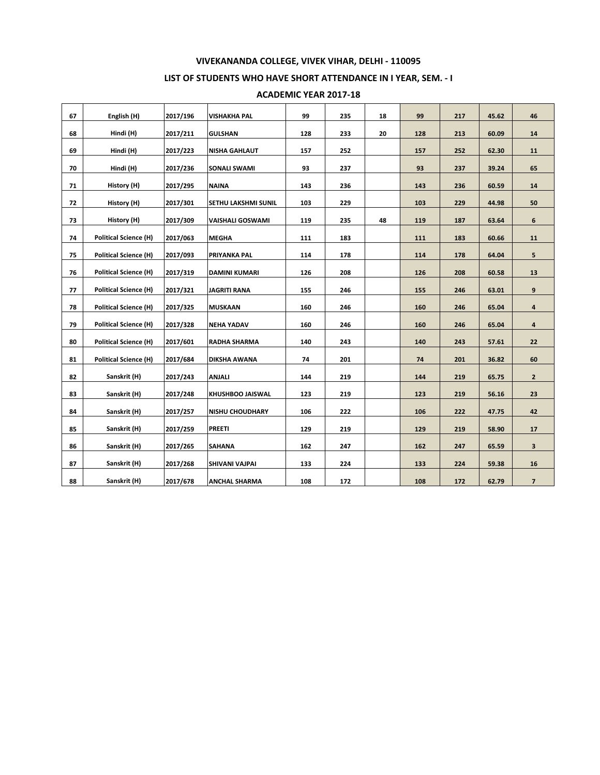# **VIVEKANANDA COLLEGE, VIVEK VIHAR, DELHI - 110095**

# **LIST OF STUDENTS WHO HAVE SHORT ATTENDANCE IN I YEAR, SEM. - I**

| 67 | English (H)                  | 2017/196 | <b>VISHAKHA PAL</b>     | 99  | 235 | 18 | 99  | 217 | 45.62 | 46             |
|----|------------------------------|----------|-------------------------|-----|-----|----|-----|-----|-------|----------------|
| 68 | Hindi (H)                    | 2017/211 | <b>GULSHAN</b>          | 128 | 233 | 20 | 128 | 213 | 60.09 | 14             |
| 69 | Hindi (H)                    | 2017/223 | <b>NISHA GAHLAUT</b>    | 157 | 252 |    | 157 | 252 | 62.30 | 11             |
| 70 | Hindi (H)                    | 2017/236 | <b>SONALI SWAMI</b>     | 93  | 237 |    | 93  | 237 | 39.24 | 65             |
| 71 | History (H)                  | 2017/295 | <b>NAINA</b>            | 143 | 236 |    | 143 | 236 | 60.59 | 14             |
| 72 | History (H)                  | 2017/301 | SETHU LAKSHMI SUNIL     | 103 | 229 |    | 103 | 229 | 44.98 | 50             |
| 73 | History (H)                  | 2017/309 | <b>VAISHALI GOSWAMI</b> | 119 | 235 | 48 | 119 | 187 | 63.64 | 6              |
|    |                              |          |                         |     |     |    |     |     |       |                |
| 74 | <b>Political Science (H)</b> | 2017/063 | <b>MEGHA</b>            | 111 | 183 |    | 111 | 183 | 60.66 | 11             |
| 75 | <b>Political Science (H)</b> | 2017/093 | PRIYANKA PAL            | 114 | 178 |    | 114 | 178 | 64.04 | 5              |
| 76 | <b>Political Science (H)</b> | 2017/319 | <b>DAMINI KUMARI</b>    | 126 | 208 |    | 126 | 208 | 60.58 | 13             |
| 77 | <b>Political Science (H)</b> | 2017/321 | <b>JAGRITI RANA</b>     | 155 | 246 |    | 155 | 246 | 63.01 | 9              |
| 78 | <b>Political Science (H)</b> | 2017/325 | <b>MUSKAAN</b>          | 160 | 246 |    | 160 | 246 | 65.04 | 4              |
| 79 | <b>Political Science (H)</b> | 2017/328 | <b>NEHA YADAV</b>       | 160 | 246 |    | 160 | 246 | 65.04 | 4              |
| 80 | <b>Political Science (H)</b> | 2017/601 | <b>RADHA SHARMA</b>     | 140 | 243 |    | 140 | 243 | 57.61 | 22             |
| 81 | <b>Political Science (H)</b> | 2017/684 | DIKSHA AWANA            | 74  | 201 |    | 74  | 201 | 36.82 | 60             |
| 82 | Sanskrit (H)                 | 2017/243 | ANJALI                  | 144 | 219 |    | 144 | 219 | 65.75 | $\overline{2}$ |
| 83 | Sanskrit (H)                 | 2017/248 | KHUSHBOO JAISWAL        | 123 | 219 |    | 123 | 219 | 56.16 | 23             |
| 84 | Sanskrit (H)                 | 2017/257 | <b>NISHU CHOUDHARY</b>  | 106 | 222 |    | 106 | 222 | 47.75 | 42             |
| 85 | Sanskrit (H)                 | 2017/259 | <b>PREETI</b>           | 129 | 219 |    | 129 | 219 | 58.90 | 17             |
| 86 | Sanskrit (H)                 | 2017/265 | <b>SAHANA</b>           | 162 | 247 |    | 162 | 247 | 65.59 | 3              |
| 87 | Sanskrit (H)                 | 2017/268 | <b>SHIVANI VAJPAI</b>   | 133 | 224 |    | 133 | 224 | 59.38 | 16             |
| 88 | Sanskrit (H)                 | 2017/678 | <b>ANCHAL SHARMA</b>    | 108 | 172 |    | 108 | 172 | 62.79 | $\overline{7}$ |

#### **ACADEMIC YEAR 2017-18**